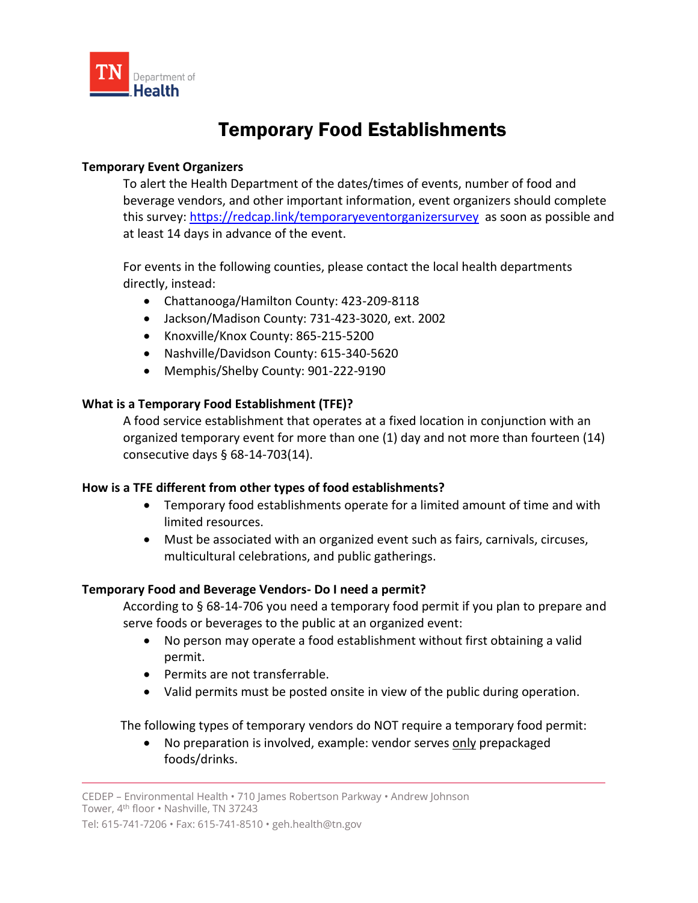

# Temporary Food Establishments

#### **Temporary Event Organizers**

To alert the Health Department of the dates/times of events, number of food and beverage vendors, and other important information, event organizers should complete this survey:<https://redcap.link/temporaryeventorganizersurvey> as soon as possible and at least 14 days in advance of the event.

For events in the following counties, please contact the local health departments directly, instead:

- Chattanooga/Hamilton County: 423-209-8118
- Jackson/Madison County: 731-423-3020, ext. 2002
- Knoxville/Knox County: 865-215-5200
- Nashville/Davidson County: 615-340-5620
- Memphis/Shelby County: 901-222-9190

#### **What is a Temporary Food Establishment (TFE)?**

A food service establishment that operates at a fixed location in conjunction with an organized temporary event for more than one (1) day and not more than fourteen (14) consecutive days § 68-14-703(14).

#### **How is a TFE different from other types of food establishments?**

- Temporary food establishments operate for a limited amount of time and with limited resources.
- Must be associated with an organized event such as fairs, carnivals, circuses, multicultural celebrations, and public gatherings.

#### **Temporary Food and Beverage Vendors- Do I need a permit?**

According to § 68-14-706 you need a temporary food permit if you plan to prepare and serve foods or beverages to the public at an organized event:

- No person may operate a food establishment without first obtaining a valid permit.
- Permits are not transferrable.
- Valid permits must be posted onsite in view of the public during operation.

The following types of temporary vendors do NOT require a temporary food permit:

• No preparation is involved, example: vendor serves only prepackaged foods/drinks.

CEDEP – Environmental Health • 710 James Robertson Parkway • Andrew Johnson Tower, 4th floor • Nashville, TN 37243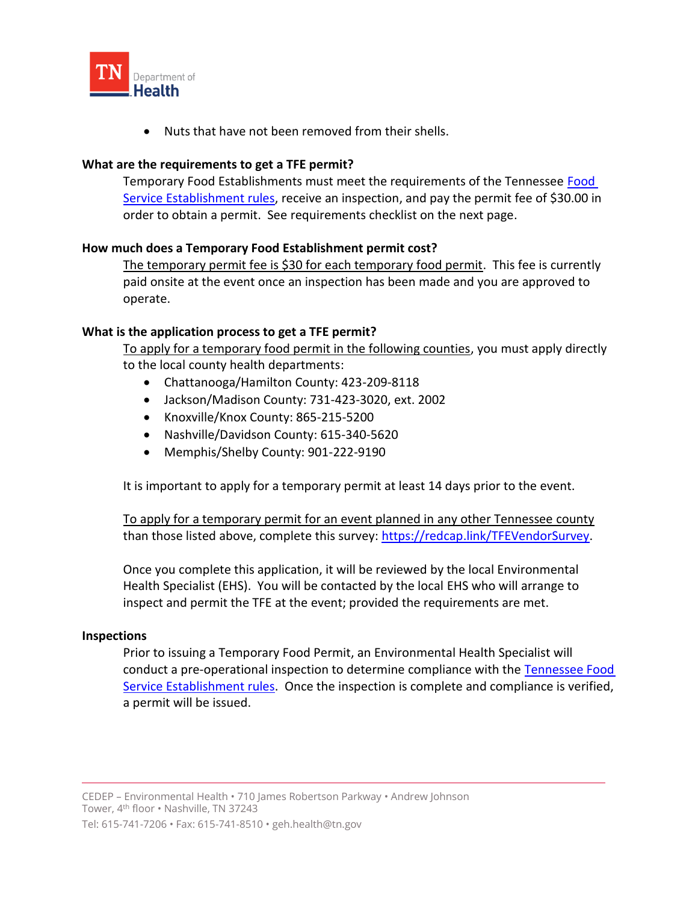

• Nuts that have not been removed from their shells.

#### **What are the requirements to get a TFE permit?**

Temporary Food Establishments must meet the requirements of the Tennessee [Food](https://publications.tnsosfiles.com/rules/1200/1200-23/1200-23-01.20180404.pdf)  [Service Establishment rules,](https://publications.tnsosfiles.com/rules/1200/1200-23/1200-23-01.20180404.pdf) receive an inspection, and pay the permit fee of \$30.00 in order to obtain a permit. See requirements checklist on the next page.

#### **How much does a Temporary Food Establishment permit cost?**

The temporary permit fee is \$30 for each temporary food permit. This fee is currently paid onsite at the event once an inspection has been made and you are approved to operate.

#### **What is the application process to get a TFE permit?**

To apply for a temporary food permit in the following counties, you must apply directly to the local county health departments:

- Chattanooga/Hamilton County: 423-209-8118
- Jackson/Madison County: 731-423-3020, ext. 2002
- Knoxville/Knox County: 865-215-5200
- Nashville/Davidson County: 615-340-5620
- Memphis/Shelby County: 901-222-9190

It is important to apply for a temporary permit at least 14 days prior to the event.

To apply for a temporary permit for an event planned in any other Tennessee county than those listed above, complete this survey: [https://redcap.link/TFEVendorSurvey.](https://redcap.link/TFEVendorSurvey)

Once you complete this application, it will be reviewed by the local Environmental Health Specialist (EHS). You will be contacted by the local EHS who will arrange to inspect and permit the TFE at the event; provided the requirements are met.

#### **Inspections**

Prior to issuing a Temporary Food Permit, an Environmental Health Specialist will conduct a pre-operational inspection to determine compliance with the Tennessee Food [Service Establishment rules.](https://publications.tnsosfiles.com/rules/1200/1200-23/1200-23-01.20180404.pdf) Once the inspection is complete and compliance is verified, a permit will be issued.

CEDEP – Environmental Health • 710 James Robertson Parkway • Andrew Johnson Tower, 4th floor • Nashville, TN 37243

Tel: 615-741-7206 • Fax: 615-741-8510 • geh.health@tn.gov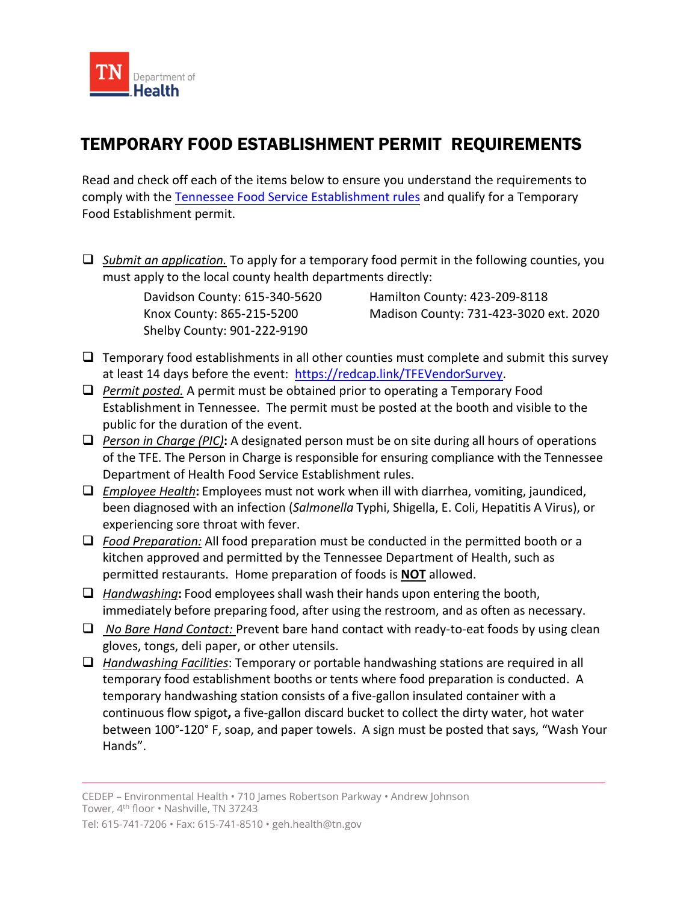

## TEMPORARY FOOD ESTABLISHMENT PERMIT REQUIREMENTS

Read and check off each of the items below to ensure you understand the requirements to comply with the [Tennessee Food Service Establishment rules](https://publications.tnsosfiles.com/rules/1200/1200-23/1200-23-01.20180404.pdf) and qualify for a Temporary Food Establishment permit.

❑ *Submit an application.* To apply for a temporary food permit in the following counties, you must apply to the local county health departments directly:

Shelby County: 901-222-9190

Davidson County: 615-340-5620 Hamilton County: 423-209-8118 Knox County: 865-215-5200 Madison County: 731-423-3020 ext. 2020

- $\Box$  Temporary food establishments in all other counties must complete and submit this survey at least 14 days before the event: [https://redcap.link/TFEVendorSurvey.](https://redcap.link/TFEVendorSurvey)
- ❑ *Permit posted.* A permit must be obtained prior to operating a Temporary Food Establishment in Tennessee. The permit must be posted at the booth and visible to the public for the duration of the event.
- ❑ *Person in Charge (PIC)***:** A designated person must be on site during all hours of operations of the TFE. The Person in Charge is responsible for ensuring compliance with the Tennessee Department of Health Food Service Establishment rules.
- ❑ *Employee Health***:** Employees must not work when ill with diarrhea, vomiting, jaundiced, been diagnosed with an infection (*Salmonella* Typhi, Shigella, E. Coli, Hepatitis A Virus), or experiencing sore throat with fever.
- ❑ *Food Preparation:* All food preparation must be conducted in the permitted booth or a kitchen approved and permitted by the Tennessee Department of Health, such as permitted restaurants. Home preparation of foods is **NOT** allowed.
- ❑ *Handwashing***:** Food employees shall wash their hands upon entering the booth, immediately before preparing food, after using the restroom, and as often as necessary.
- ❑ *No Bare Hand Contact:* Prevent bare hand contact with ready-to-eat foods by using clean gloves, tongs, deli paper, or other utensils.
- ❑ *Handwashing Facilities*: Temporary or portable handwashing stations are required in all temporary food establishment booths or tents where food preparation is conducted. A temporary handwashing station consists of a five-gallon insulated container with a continuous flow spigot**,** a five-gallon discard bucket to collect the dirty water, hot water between 100°-120° F, soap, and paper towels. A sign must be posted that says, "Wash Your Hands".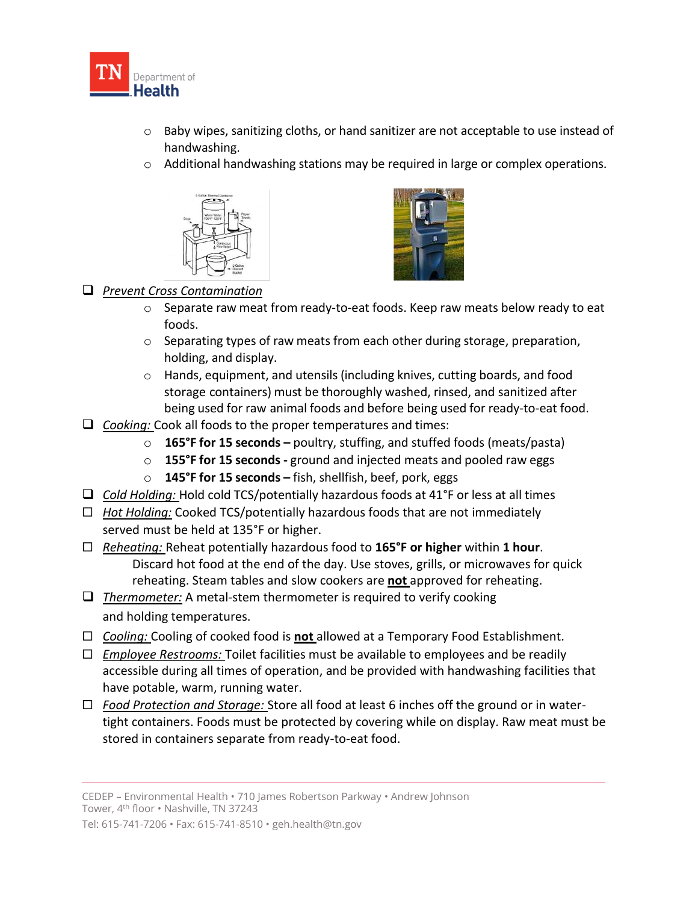

- o Baby wipes, sanitizing cloths, or hand sanitizer are not acceptable to use instead of handwashing.
- $\circ$  Additional handwashing stations may be required in large or complex operations.





### ❑ *Prevent Cross Contamination*

- $\circ$  Separate raw meat from ready-to-eat foods. Keep raw meats below ready to eat foods.
- o Separating types of raw meats from each other during storage, preparation, holding, and display.
- $\circ$  Hands, equipment, and utensils (including knives, cutting boards, and food storage containers) must be thoroughly washed, rinsed, and sanitized after being used for raw animal foods and before being used for ready-to-eat food.
- ❑ *Cooking:* Cook all foods to the proper temperatures and times:
	- o **165°F for 15 seconds –** poultry, stuffing, and stuffed foods (meats/pasta)
	- o **155°F for 15 seconds -** ground and injected meats and pooled raw eggs
	- o **145°F for 15 seconds –** fish, shellfish, beef, pork, eggs
- ❑ *Cold Holding:* Hold cold TCS/potentially hazardous foods at 41°F or less at all times
- *Hot Holding:* Cooked TCS/potentially hazardous foods that are not immediately served must be held at 135°F or higher.
- *Reheating:* Reheat potentially hazardous food to **165°F or higher** within **1 hour**. Discard hot food at the end of the day. Use stoves, grills, or microwaves for quick reheating. Steam tables and slow cookers are **not** approved for reheating.
- ❑ *Thermometer:* A metal-stem thermometer is required to verify cooking and holding temperatures.
- *Cooling:* Cooling of cooked food is **not** allowed at a Temporary Food Establishment.
- *Employee Restrooms:* Toilet facilities must be available to employees and be readily accessible during all times of operation, and be provided with handwashing facilities that have potable, warm, running water.
- *Food Protection and Storage:* Store all food at least 6 inches off the ground or in watertight containers. Foods must be protected by covering while on display. Raw meat must be stored in containers separate from ready-to-eat food.